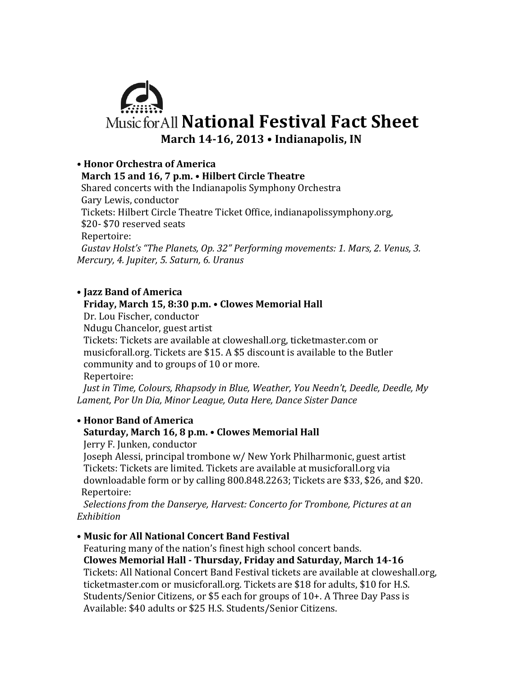

# **• Honor Orchestra of America**

## **March 15 and 16, 7 p.m. • Hilbert Circle Theatre**

Shared concerts with the Indianapolis Symphony Orchestra Gary Lewis, conductor Tickets: Hilbert Circle Theatre Ticket Office, indianapolissymphony.org, \$20- \$70 reserved seats Repertoire: *Gustav Holst's* "The Planets, Op. 32" Performing movements: 1. Mars, 2. Venus, 3. *Mercury, 4. Jupiter, 5. Saturn, 6. Uranus*

### • **Jazz Band of America**

## **Friday, March 15, 8:30 p.m. • Clowes Memorial Hall**

Dr. Lou Fischer, conductor

Ndugu Chancelor, guest artist

Tickets: Tickets are available at cloweshall.org, ticketmaster.com or musicforall.org. Tickets are \$15. A \$5 discount is available to the Butler community and to groups of 10 or more.

 Repertoire:

*Just in Time, Colours, Rhapsody in Blue, Weather, You Needn't, Deedle, Deedle, My* Lament, Por Un Dia, Minor League, Outa Here, Dance Sister Dance

## • **Honor Band of America** Saturday, March 16, 8 p.m. • Clowes Memorial Hall

Jerry F. Junken, conductor

Joseph Alessi, principal trombone w/ New York Philharmonic, guest artist Tickets: Tickets are limited. Tickets are available at musicforall.org via downloadable form or by calling  $800.848.2263$ ; Tickets are \$33, \$26, and \$20. Repertoire:

*Selections from the Danserye, Harvest: Concerto for Trombone, Pictures at an Exhibition*

## • **Music for All National Concert Band Festival**

Featuring many of the nation's finest high school concert bands.

### **Clowes Memorial Hall - Thursday, Friday and Saturday, March 14-16**

Tickets: All National Concert Band Festival tickets are available at cloweshall.org, ticketmaster.com or musicforall.org. Tickets are \$18 for adults, \$10 for H.S. Students/Senior Citizens, or \$5 each for groups of 10+. A Three Day Pass is Available: \$40 adults or \$25 H.S. Students/Senior Citizens.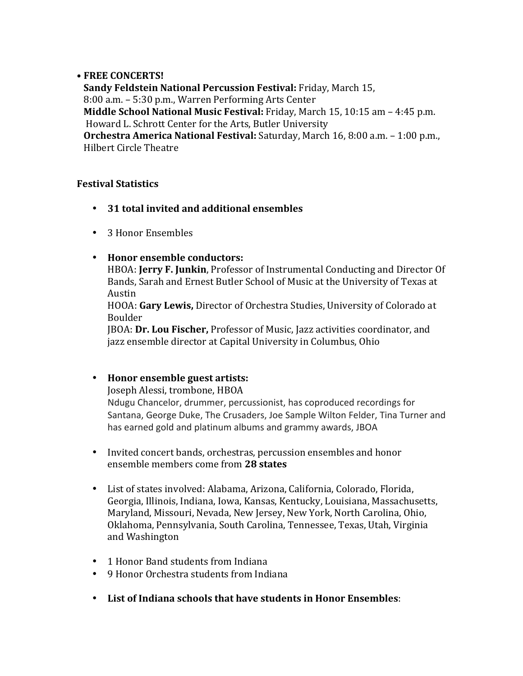### • **FREE CONCERTS!**

**Sandy Feldstein National Percussion Festival: Friday, March 15,** 8:00 a.m. – 5:30 p.m., Warren Performing Arts Center **Middle School National Music Festival:** Friday, March 15, 10:15 am – 4:45 p.m. Howard L. Schrott Center for the Arts, Butler University **Orchestra America National Festival:** Saturday, March 16, 8:00 a.m. - 1:00 p.m., Hilbert Circle Theatre

## **Festival Statistics**

- 31 total invited and additional ensembles
- 3 Honor Ensembles

## • Honor ensemble conductors:

HBOA: **Jerry F. Junkin**, Professor of Instrumental Conducting and Director Of Bands, Sarah and Ernest Butler School of Music at the University of Texas at Austin

HOOA: Gary Lewis, Director of Orchestra Studies, University of Colorado at Boulder

JBOA: **Dr. Lou Fischer,** Professor of Music, Jazz activities coordinator, and jazz ensemble director at Capital University in Columbus, Ohio

## • Honor ensemble guest artists:

Joseph Alessi, trombone, HBOA

Ndugu Chancelor, drummer, percussionist, has coproduced recordings for Santana, George Duke, The Crusaders, Joe Sample Wilton Felder, Tina Turner and has earned gold and platinum albums and grammy awards, JBOA

- Invited concert bands, orchestras, percussion ensembles and honor ensemble members come from 28 states
- List of states involved: Alabama, Arizona, California, Colorado, Florida, Georgia, Illinois, Indiana, Iowa, Kansas, Kentucky, Louisiana, Massachusetts, Maryland, Missouri, Nevada, New Jersey, New York, North Carolina, Ohio, Oklahoma, Pennsylvania, South Carolina, Tennessee, Texas, Utah, Virginia and Washington
- 1 Honor Band students from Indiana
- 9 Honor Orchestra students from Indiana
- List of Indiana schools that have students in Honor Ensembles: